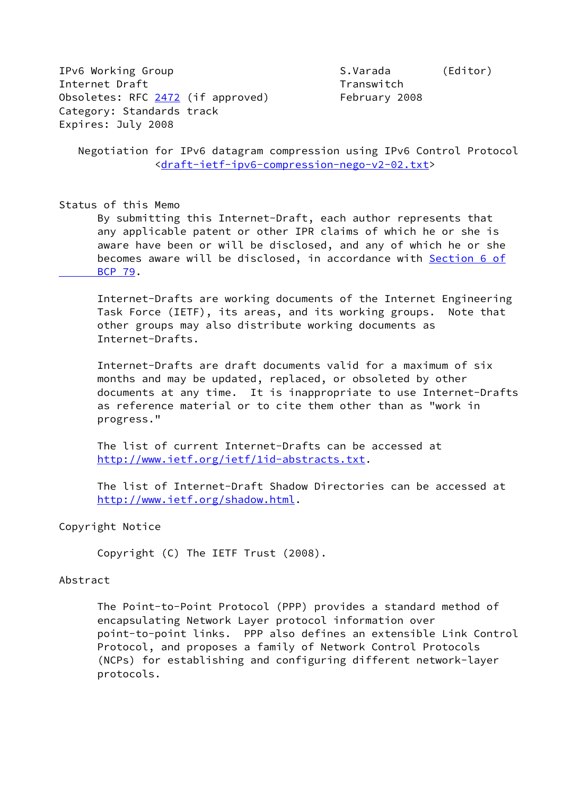IPv6 Working Group Communication S.Varada (Editor) Internet Draft Transwitch Obsoletes: RFC [2472](https://datatracker.ietf.org/doc/pdf/rfc2472) (if approved) February 2008 Category: Standards track Expires: July 2008

 Negotiation for IPv6 datagram compression using IPv6 Control Protocol [<draft-ietf-ipv6-compression-nego-v2-02.txt>](https://datatracker.ietf.org/doc/pdf/draft-ietf-ipv6-compression-nego-v2-02.txt)

#### Status of this Memo

 By submitting this Internet-Draft, each author represents that any applicable patent or other IPR claims of which he or she is aware have been or will be disclosed, and any of which he or she becomes aware will be disclosed, in accordance with [Section](https://datatracker.ietf.org/doc/pdf/bcp79#section-6) 6 of  [BCP 79](https://datatracker.ietf.org/doc/pdf/bcp79#section-6).

 Internet-Drafts are working documents of the Internet Engineering Task Force (IETF), its areas, and its working groups. Note that other groups may also distribute working documents as Internet-Drafts.

 Internet-Drafts are draft documents valid for a maximum of six months and may be updated, replaced, or obsoleted by other documents at any time. It is inappropriate to use Internet-Drafts as reference material or to cite them other than as "work in progress."

 The list of current Internet-Drafts can be accessed at [http://www.ietf.org/ietf/1id-abstracts.txt.](http://www.ietf.org/ietf/1id-abstracts.txt)

 The list of Internet-Draft Shadow Directories can be accessed at <http://www.ietf.org/shadow.html>.

#### Copyright Notice

Copyright (C) The IETF Trust (2008).

#### Abstract

 The Point-to-Point Protocol (PPP) provides a standard method of encapsulating Network Layer protocol information over point-to-point links. PPP also defines an extensible Link Control Protocol, and proposes a family of Network Control Protocols (NCPs) for establishing and configuring different network-layer protocols.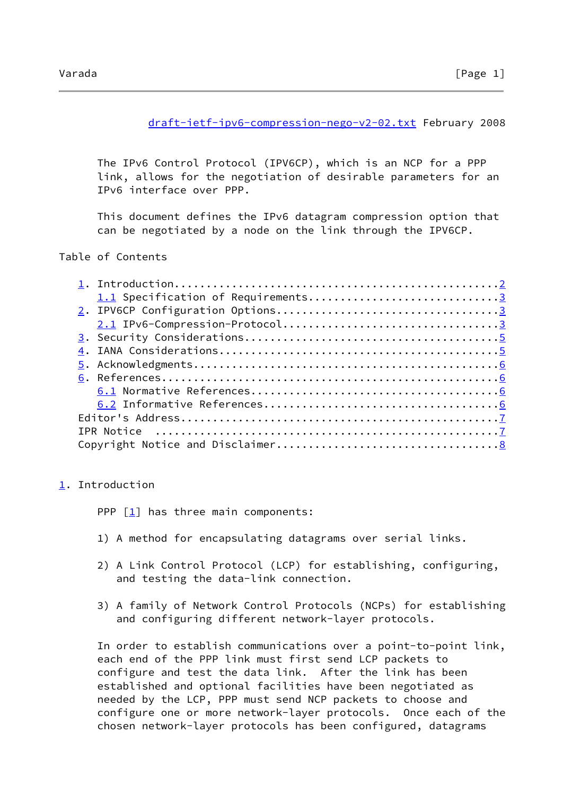#### [draft-ietf-ipv6-compression-nego-v2-02.txt](https://datatracker.ietf.org/doc/pdf/draft-ietf-ipv6-compression-nego-v2-02.txt) February 2008

<span id="page-1-1"></span> The IPv6 Control Protocol (IPV6CP), which is an NCP for a PPP link, allows for the negotiation of desirable parameters for an IPv6 interface over PPP.

 This document defines the IPv6 datagram compression option that can be negotiated by a node on the link through the IPV6CP.

#### Table of Contents

| 1.1 Specification of Requirements3 |  |
|------------------------------------|--|
|                                    |  |
|                                    |  |
|                                    |  |
|                                    |  |
|                                    |  |
|                                    |  |
|                                    |  |
|                                    |  |
|                                    |  |
|                                    |  |
|                                    |  |
|                                    |  |

### <span id="page-1-0"></span>[1](#page-1-0). Introduction

PPP  $\lceil \frac{1}{2} \rceil$  has three main components:

- 1) A method for encapsulating datagrams over serial links.
- 2) A Link Control Protocol (LCP) for establishing, configuring, and testing the data-link connection.
- 3) A family of Network Control Protocols (NCPs) for establishing and configuring different network-layer protocols.

 In order to establish communications over a point-to-point link, each end of the PPP link must first send LCP packets to configure and test the data link. After the link has been established and optional facilities have been negotiated as needed by the LCP, PPP must send NCP packets to choose and configure one or more network-layer protocols. Once each of the chosen network-layer protocols has been configured, datagrams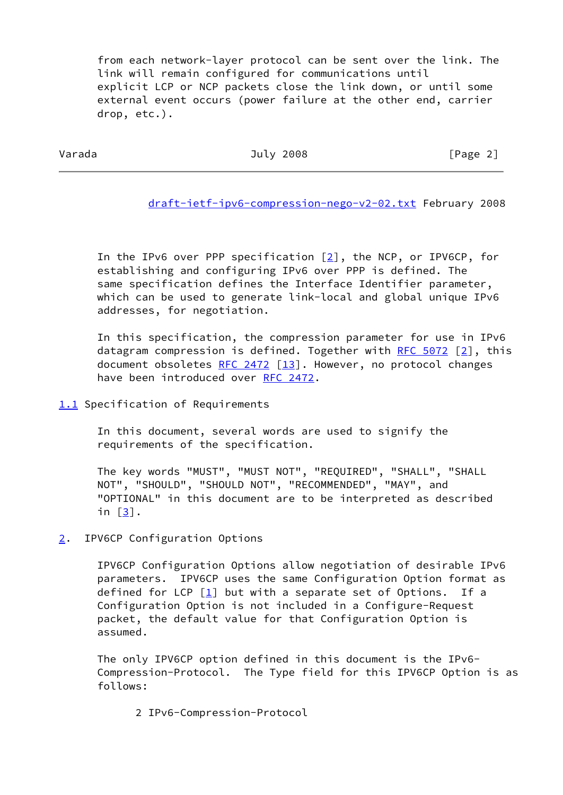from each network-layer protocol can be sent over the link. The link will remain configured for communications until explicit LCP or NCP packets close the link down, or until some external event occurs (power failure at the other end, carrier drop, etc.).

<span id="page-2-1"></span>Varada July 2008 [Page 2]

[draft-ietf-ipv6-compression-nego-v2-02.txt](https://datatracker.ietf.org/doc/pdf/draft-ietf-ipv6-compression-nego-v2-02.txt) February 2008

In the IPv6 over PPP specification  $[2]$  $[2]$ , the NCP, or IPV6CP, for establishing and configuring IPv6 over PPP is defined. The same specification defines the Interface Identifier parameter, which can be used to generate link-local and global unique IPv6 addresses, for negotiation.

 In this specification, the compression parameter for use in IPv6 datagram compression is defined. Together with RFC  $5072$   $[2]$  $[2]$ , this document obsoletes [RFC 2472](https://datatracker.ietf.org/doc/pdf/rfc2472)  $\lceil 13 \rceil$ . However, no protocol changes have been introduced over [RFC 2472](https://datatracker.ietf.org/doc/pdf/rfc2472).

# <span id="page-2-0"></span>[1.1](#page-2-0) Specification of Requirements

 In this document, several words are used to signify the requirements of the specification.

 The key words "MUST", "MUST NOT", "REQUIRED", "SHALL", "SHALL NOT", "SHOULD", "SHOULD NOT", "RECOMMENDED", "MAY", and "OPTIONAL" in this document are to be interpreted as described in  $\lceil \frac{3}{2} \rceil$ .

### <span id="page-2-2"></span>[2](#page-2-2). IPV6CP Configuration Options

 IPV6CP Configuration Options allow negotiation of desirable IPv6 parameters. IPV6CP uses the same Configuration Option format as defined for LCP  $[1]$  $[1]$  but with a separate set of Options. If a Configuration Option is not included in a Configure-Request packet, the default value for that Configuration Option is assumed.

 The only IPV6CP option defined in this document is the IPv6- Compression-Protocol. The Type field for this IPV6CP Option is as follows:

2 IPv6-Compression-Protocol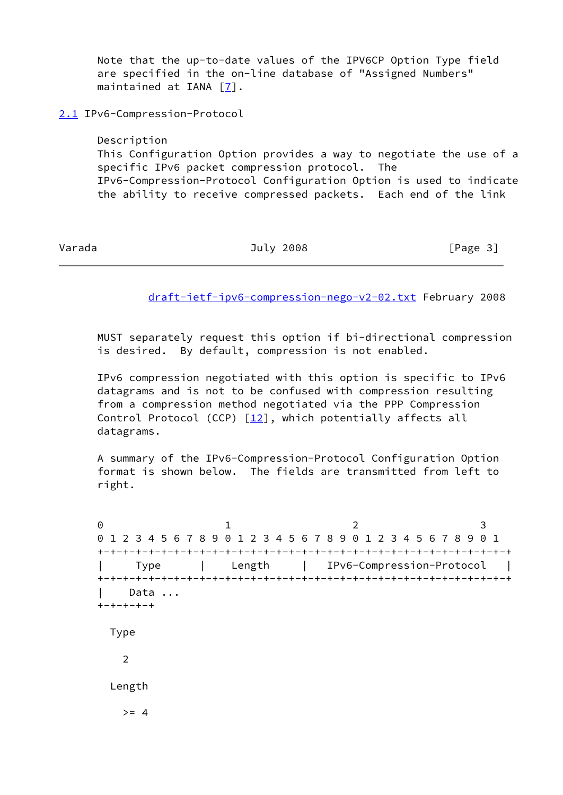Note that the up-to-date values of the IPV6CP Option Type field are specified in the on-line database of "Assigned Numbers" maintained at IANA [[7\]](#page-6-6).

<span id="page-3-0"></span>[2.1](#page-3-0) IPv6-Compression-Protocol

 Description This Configuration Option provides a way to negotiate the use of a specific IPv6 packet compression protocol. The IPv6-Compression-Protocol Configuration Option is used to indicate the ability to receive compressed packets. Each end of the link

Varada **Varada July 2008 Constant Constant Constant Constant Constant Constant Constant Constant Constant Constant Constant Constant Constant Constant Constant Constant Constant Constant Constant Constant Constant Cons** 

[draft-ietf-ipv6-compression-nego-v2-02.txt](https://datatracker.ietf.org/doc/pdf/draft-ietf-ipv6-compression-nego-v2-02.txt) February 2008

 MUST separately request this option if bi-directional compression is desired. By default, compression is not enabled.

 IPv6 compression negotiated with this option is specific to IPv6 datagrams and is not to be confused with compression resulting from a compression method negotiated via the PPP Compression Control Protocol (CCP)  $[12]$  $[12]$ , which potentially affects all datagrams.

 A summary of the IPv6-Compression-Protocol Configuration Option format is shown below. The fields are transmitted from left to right.

0 1 2 3 0 1 2 3 4 5 6 7 8 9 0 1 2 3 4 5 6 7 8 9 0 1 2 3 4 5 6 7 8 9 0 1 +-+-+-+-+-+-+-+-+-+-+-+-+-+-+-+-+-+-+-+-+-+-+-+-+-+-+-+-+-+-+-+-+ | Type | Length | IPv6-Compression-Protocol | +-+-+-+-+-+-+-+-+-+-+-+-+-+-+-+-+-+-+-+-+-+-+-+-+-+-+-+-+-+-+-+-+ Data ... +-+-+-+-+ Type 2 Length  $>= 4$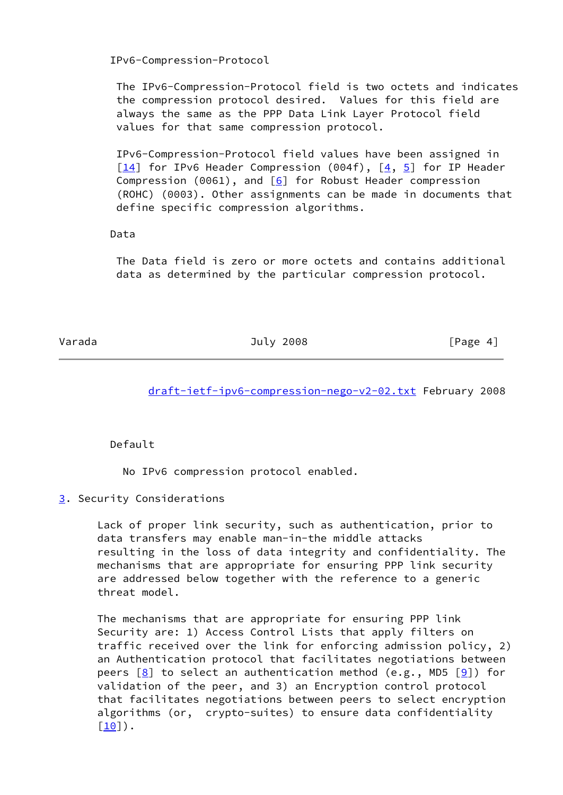IPv6-Compression-Protocol

 The IPv6-Compression-Protocol field is two octets and indicates the compression protocol desired. Values for this field are always the same as the PPP Data Link Layer Protocol field values for that same compression protocol.

 IPv6-Compression-Protocol field values have been assigned in  $\left[\frac{14}{1}\right]$  for IPv6 Header Compression (004f),  $\left[\frac{4}{5}\right]$  for IP Header Compression (0061), and  $\boxed{6}$  for Robust Header compression (ROHC) (0003). Other assignments can be made in documents that define specific compression algorithms.

## Data

 The Data field is zero or more octets and contains additional data as determined by the particular compression protocol.

<span id="page-4-1"></span>

Varada July 2008 [Page 4]

[draft-ietf-ipv6-compression-nego-v2-02.txt](https://datatracker.ietf.org/doc/pdf/draft-ietf-ipv6-compression-nego-v2-02.txt) February 2008

Default

No IPv6 compression protocol enabled.

<span id="page-4-0"></span>[3](#page-4-0). Security Considerations

 Lack of proper link security, such as authentication, prior to data transfers may enable man-in-the middle attacks resulting in the loss of data integrity and confidentiality. The mechanisms that are appropriate for ensuring PPP link security are addressed below together with the reference to a generic threat model.

 The mechanisms that are appropriate for ensuring PPP link Security are: 1) Access Control Lists that apply filters on traffic received over the link for enforcing admission policy, 2) an Authentication protocol that facilitates negotiations between peers  $[8]$  to select an authentication method (e.g., MD5  $[9]$  $[9]$ ) for validation of the peer, and 3) an Encryption control protocol that facilitates negotiations between peers to select encryption algorithms (or, crypto-suites) to ensure data confidentiality  $[10]$  $[10]$ .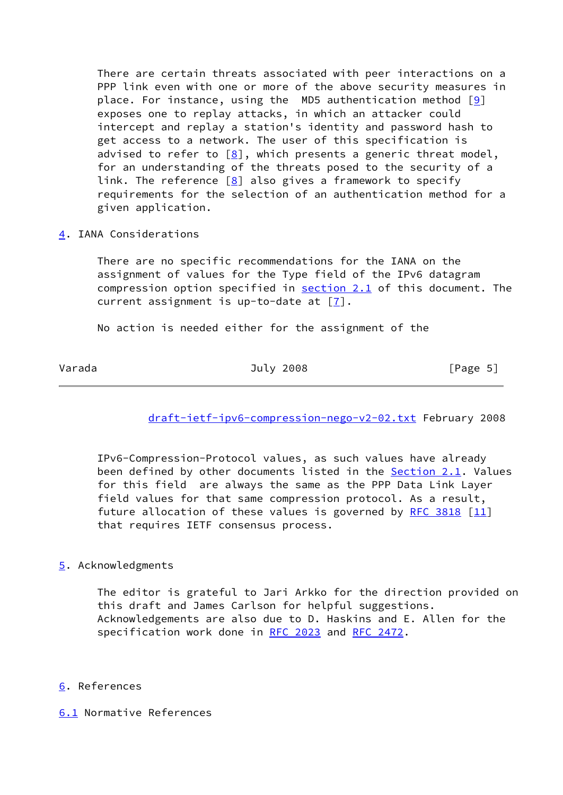There are certain threats associated with peer interactions on a PPP link even with one or more of the above security measures in place. For instance, using the  $MD5$  authentication method  $[9]$  exposes one to replay attacks, in which an attacker could intercept and replay a station's identity and password hash to get access to a network. The user of this specification is advised to refer to  $[8]$  $[8]$ , which presents a generic threat model, for an understanding of the threats posed to the security of a link. The reference  $[8]$  $[8]$  also gives a framework to specify requirements for the selection of an authentication method for a given application.

<span id="page-5-0"></span>[4](#page-5-0). IANA Considerations

 There are no specific recommendations for the IANA on the assignment of values for the Type field of the IPv6 datagram compression option specified in [section 2.1](#page-3-0) of this document. The current assignment is up-to-date at [\[7](#page-6-6)].

No action is needed either for the assignment of the

## <span id="page-5-2"></span>Varada July 2008 [Page 5]

[draft-ietf-ipv6-compression-nego-v2-02.txt](https://datatracker.ietf.org/doc/pdf/draft-ietf-ipv6-compression-nego-v2-02.txt) February 2008

 IPv6-Compression-Protocol values, as such values have already been defined by other documents listed in the **Section 2.1</u>.** Values for this field are always the same as the PPP Data Link Layer field values for that same compression protocol. As a result, future allocation of these values is governed by [RFC 3818](https://datatracker.ietf.org/doc/pdf/rfc3818)  $[11]$ that requires IETF consensus process.

# <span id="page-5-1"></span>[5](#page-5-1). Acknowledgments

 The editor is grateful to Jari Arkko for the direction provided on this draft and James Carlson for helpful suggestions. Acknowledgements are also due to D. Haskins and E. Allen for the specification work done in [RFC 2023](https://datatracker.ietf.org/doc/pdf/rfc2023) and [RFC 2472.](https://datatracker.ietf.org/doc/pdf/rfc2472)

# <span id="page-5-3"></span>[6](#page-5-3). References

<span id="page-5-4"></span>[6.1](#page-5-4) Normative References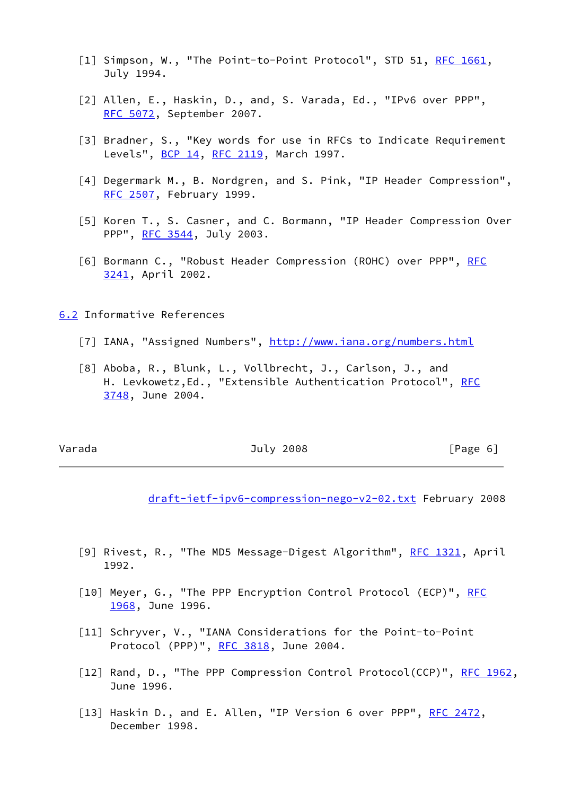- <span id="page-6-2"></span>[1] Simpson, W., "The Point-to-Point Protocol", STD 51, [RFC 1661](https://datatracker.ietf.org/doc/pdf/rfc1661), July 1994.
- <span id="page-6-3"></span> [2] Allen, E., Haskin, D., and, S. Varada, Ed., "IPv6 over PPP", [RFC 5072,](https://datatracker.ietf.org/doc/pdf/rfc5072) September 2007.
- <span id="page-6-5"></span> [3] Bradner, S., "Key words for use in RFCs to Indicate Requirement Levels", [BCP 14](https://datatracker.ietf.org/doc/pdf/bcp14), [RFC 2119](https://datatracker.ietf.org/doc/pdf/rfc2119), March 1997.
- <span id="page-6-8"></span>[4] Degermark M., B. Nordgren, and S. Pink, "IP Header Compression", [RFC 2507,](https://datatracker.ietf.org/doc/pdf/rfc2507) February 1999.
- <span id="page-6-9"></span> [5] Koren T., S. Casner, and C. Bormann, "IP Header Compression Over PPP", [RFC 3544](https://datatracker.ietf.org/doc/pdf/rfc3544), July 2003.
- <span id="page-6-10"></span>[6] Bormann C., "Robust Header Compression (ROHC) over PPP", [RFC](https://datatracker.ietf.org/doc/pdf/rfc3241) [3241,](https://datatracker.ietf.org/doc/pdf/rfc3241) April 2002.

<span id="page-6-0"></span>[6.2](#page-6-0) Informative References

- <span id="page-6-6"></span>[7] IANA, "Assigned Numbers",<http://www.iana.org/numbers.html>
- <span id="page-6-11"></span> [8] Aboba, R., Blunk, L., Vollbrecht, J., Carlson, J., and H. Levkowetz, Ed., "Extensible Authentication Protocol", [RFC](https://datatracker.ietf.org/doc/pdf/rfc3748) [3748,](https://datatracker.ietf.org/doc/pdf/rfc3748) June 2004.

<span id="page-6-1"></span>

## Varada **Varada July 2008 CONFERGE 61**

[draft-ietf-ipv6-compression-nego-v2-02.txt](https://datatracker.ietf.org/doc/pdf/draft-ietf-ipv6-compression-nego-v2-02.txt) February 2008

- <span id="page-6-12"></span>[9] Rivest, R., "The MD5 Message-Digest Algorithm", [RFC 1321,](https://datatracker.ietf.org/doc/pdf/rfc1321) April 1992.
- <span id="page-6-13"></span>[10] Meyer, G., "The PPP Encryption Control Protocol (ECP)", [RFC](https://datatracker.ietf.org/doc/pdf/rfc1968) [1968](https://datatracker.ietf.org/doc/pdf/rfc1968), June 1996.
- <span id="page-6-14"></span> [11] Schryver, V., "IANA Considerations for the Point-to-Point Protocol (PPP)", [RFC 3818](https://datatracker.ietf.org/doc/pdf/rfc3818), June 2004.
- <span id="page-6-7"></span>[12] Rand, D., "The PPP Compression Control Protocol(CCP)", [RFC 1962,](https://datatracker.ietf.org/doc/pdf/rfc1962) June 1996.
- <span id="page-6-4"></span>[13] Haskin D., and E. Allen, "IP Version 6 over PPP", [RFC 2472,](https://datatracker.ietf.org/doc/pdf/rfc2472) December 1998.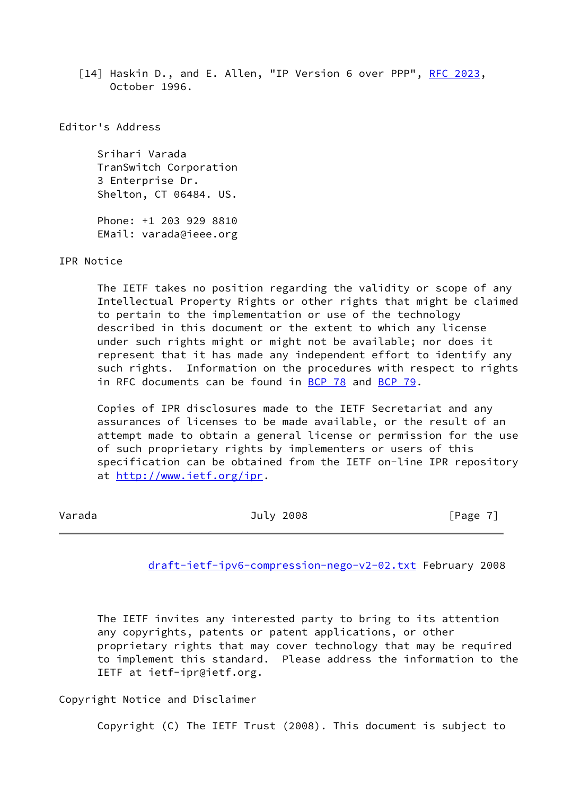<span id="page-7-1"></span>[14] Haskin D., and E. Allen, "IP Version 6 over PPP", [RFC 2023,](https://datatracker.ietf.org/doc/pdf/rfc2023) October 1996.

Editor's Address

 Srihari Varada TranSwitch Corporation 3 Enterprise Dr. Shelton, CT 06484. US. Phone: +1 203 929 8810

EMail: varada@ieee.org

IPR Notice

 The IETF takes no position regarding the validity or scope of any Intellectual Property Rights or other rights that might be claimed to pertain to the implementation or use of the technology described in this document or the extent to which any license under such rights might or might not be available; nor does it represent that it has made any independent effort to identify any such rights. Information on the procedures with respect to rights in RFC documents can be found in [BCP 78](https://datatracker.ietf.org/doc/pdf/bcp78) and [BCP 79](https://datatracker.ietf.org/doc/pdf/bcp79).

 Copies of IPR disclosures made to the IETF Secretariat and any assurances of licenses to be made available, or the result of an attempt made to obtain a general license or permission for the use of such proprietary rights by implementers or users of this specification can be obtained from the IETF on-line IPR repository at<http://www.ietf.org/ipr>.

<span id="page-7-0"></span>

| [Page 7] |
|----------|
|          |

[draft-ietf-ipv6-compression-nego-v2-02.txt](https://datatracker.ietf.org/doc/pdf/draft-ietf-ipv6-compression-nego-v2-02.txt) February 2008

 The IETF invites any interested party to bring to its attention any copyrights, patents or patent applications, or other proprietary rights that may cover technology that may be required to implement this standard. Please address the information to the IETF at ietf-ipr@ietf.org.

Copyright Notice and Disclaimer

Copyright (C) The IETF Trust (2008). This document is subject to